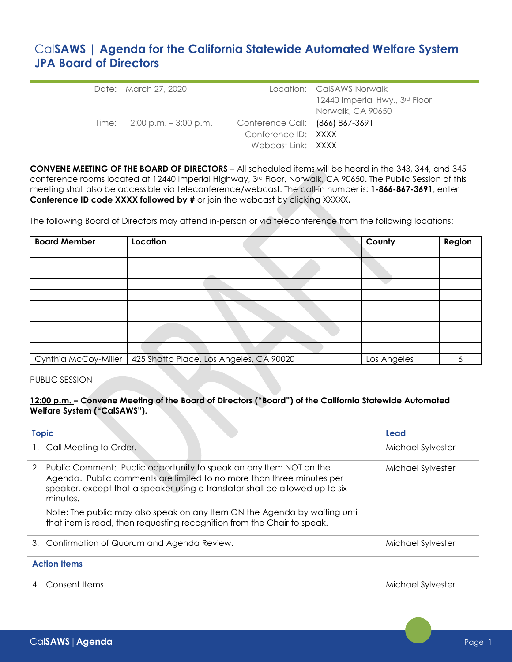# Cal**SAWS | Agenda for the California Statewide Automated Welfare System JPA Board of Directors**

| Date: March 27, 2020                           |                                                                              | Location: CalSAWS Norwalk<br>12440 Imperial Hwy., 3rd Floor<br>Norwalk, CA 90650 |
|------------------------------------------------|------------------------------------------------------------------------------|----------------------------------------------------------------------------------|
| Time: $12:00 \text{ p.m.} - 3:00 \text{ p.m.}$ | Conference Call: (866) 867-3691<br>Conference ID: XXXX<br>Webcast Link: XXXX |                                                                                  |

**CONVENE MEETING OF THE BOARD OF DIRECTORS** – All scheduled items will be heard in the 343, 344, and 345 conference rooms located at 12440 Imperial Highway, 3rd Floor, Norwalk, CA 90650. The Public Session of this meeting shall also be accessible via teleconference/webcast. The call-in number is: **1-866-867-3691**, enter **Conference ID code XXXX followed by #** or join the webcast by clicking XXXXX**.**

The following Board of Directors may attend in-person or via teleconference from the following locations:

| <b>Board Member</b>  | Location                                | County      | Region |
|----------------------|-----------------------------------------|-------------|--------|
|                      |                                         |             |        |
|                      |                                         |             |        |
|                      |                                         |             |        |
|                      |                                         |             |        |
|                      |                                         |             |        |
|                      |                                         |             |        |
|                      |                                         |             |        |
|                      |                                         |             |        |
|                      |                                         |             |        |
|                      |                                         |             |        |
| Cynthia McCoy-Miller | 425 Shatto Place, Los Angeles, CA 90020 | Los Angeles | o      |

### PUBLIC SESSION

**12:00 p.m. – Convene Meeting of the Board of Directors ("Board") of the California Statewide Automated Welfare System ("CalSAWS").**

| <b>Topic</b>                                                                                                                                                                                                                               | Lead              |
|--------------------------------------------------------------------------------------------------------------------------------------------------------------------------------------------------------------------------------------------|-------------------|
| Call Meeting to Order.                                                                                                                                                                                                                     | Michael Sylvester |
| 2. Public Comment: Public opportunity to speak on any Item NOT on the<br>Agenda. Public comments are limited to no more than three minutes per<br>speaker, except that a speaker using a translator shall be allowed up to six<br>minutes. | Michael Sylvester |
| Note: The public may also speak on any Item ON the Agenda by waiting until<br>that item is read, then requesting recognition from the Chair to speak.                                                                                      |                   |
| 3. Confirmation of Quorum and Agenda Review.                                                                                                                                                                                               | Michael Sylvester |
| <b>Action Items</b>                                                                                                                                                                                                                        |                   |
| Consent Items                                                                                                                                                                                                                              | Michael Sylvester |
|                                                                                                                                                                                                                                            |                   |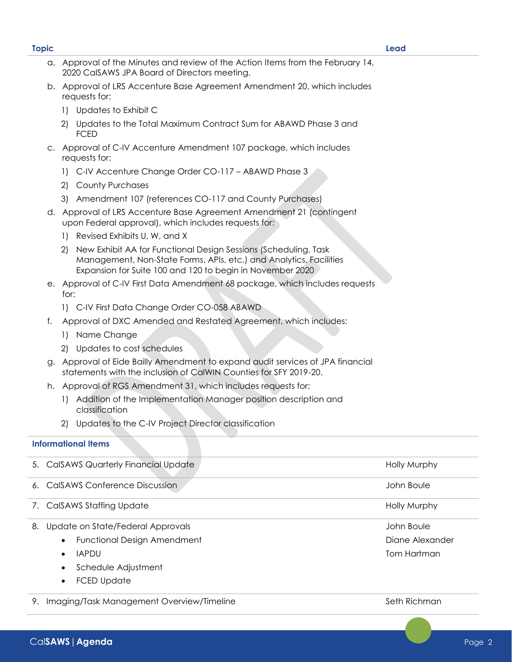d. Approval of LRS Accenture Base Agreement Amendment 21 (contingent upon Federal approval), which includes requests for:

a. Approval of the Minutes and review of the Action Items from the February 14,

b. Approval of LRS Accenture Base Agreement Amendment 20, which includes

2) Updates to the Total Maximum Contract Sum for ABAWD Phase 3 and

c. Approval of C-IV Accenture Amendment 107 package, which includes

1) C-IV Accenture Change Order CO-117 – ABAWD Phase 3

3) Amendment 107 (references CO-117 and County Purchases)

- 1) Revised Exhibits U, W, and X
- 2) New Exhibit AA for Functional Design Sessions (Scheduling, Task Management, Non-State Forms, APIs, etc.) and Analytics, Facilities Expansion for Suite 100 and 120 to begin in November 2020
- e. Approval of C-IV First Data Amendment 68 package, which includes requests for:
	- 1) C-IV First Data Change Order CO-058 ABAWD

2020 CalSAWS JPA Board of Directors meeting.

- f. Approval of DXC Amended and Restated Agreement, which includes:
	- 1) Name Change

requests for:

FCED

requests for:

1) Updates to Exhibit C

2) County Purchases

- 2) Updates to cost schedules
- g. Approval of Eide Bailly Amendment to expand audit services of JPA financial statements with the inclusion of CalWIN Counties for SFY 2019-20.
- h. Approval of RGS Amendment 31, which includes requests for:
	- 1) Addition of the Implementation Manager position description and classification
	- 2) Updates to the C-IV Project Director classification

### **Informational Items**

| 5. CalSAWS Quarterly Financial Update           | <b>Holly Murphy</b> |
|-------------------------------------------------|---------------------|
| 6. CalSAWS Conference Discussion                | John Boule          |
| 7. CalSAWS Staffing Update                      | <b>Holly Murphy</b> |
| Update on State/Federal Approvals<br>8.         | John Boule          |
| <b>Functional Design Amendment</b>              | Diane Alexander     |
| <b>IAPDU</b><br>$\bullet$                       | Tom Hartman         |
| Schedule Adjustment                             |                     |
| <b>FCED Update</b>                              |                     |
| Imaging/Task Management Overview/Timeline<br>9. | Seth Richman        |

## **Topic Lead**